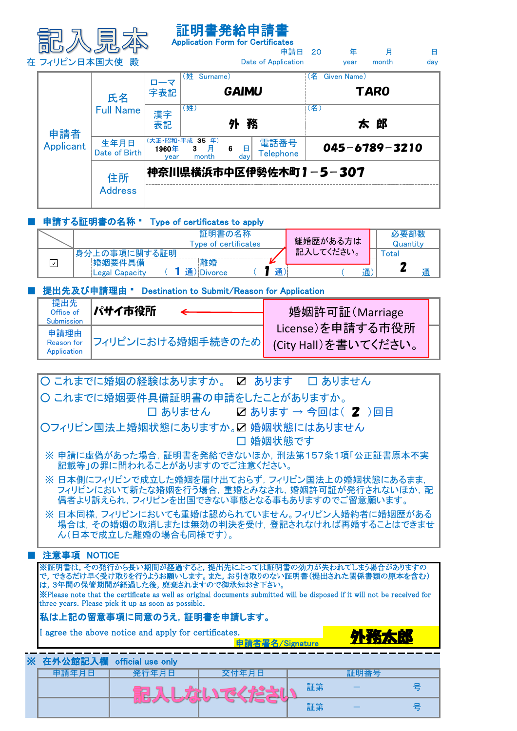|  |                  |                        |               | 証明書発給申請書                                  | <b>Application Form for Certificates</b> |     |             |                     |          |
|--|------------------|------------------------|---------------|-------------------------------------------|------------------------------------------|-----|-------------|---------------------|----------|
|  | 在 フィリピン日本国大使 殿   |                        |               |                                           | 申請日 20<br>Date of Application            |     | 年<br>year   | 月<br>month          | 日<br>day |
|  |                  | 氏名<br><b>Full Name</b> | ローマ<br>字表記    | (姓 Surname)                               | <b>GAIMU</b>                             | (名) | Given Name) | TAR0                |          |
|  | 申請者<br>Applicant |                        | 漢字<br>表記      | (姓)                                       | 外務                                       | (名) |             | 太 郎                 |          |
|  |                  | 生年月日<br>Date of Birth  | 1960年<br>vear | (夫正·昭和·平成 35 年)<br>月<br>- 6<br>3<br>month | 電話番号<br>日<br><b>Telephone</b><br>day     |     |             | $045 - 6789 - 3210$ |          |
|  |                  | 住所<br><b>Address</b>   |               |                                           | 神奈川県横浜市中区伊勢佐木町1-5-307                    |     |             |                     |          |

## ■ 申請する証明書の名称 " Type of certificates to apply

| 証明書の名称<br>Type of certificates                | 離婚歴がある方は  | 必要部数<br>Quantitv |
|-----------------------------------------------|-----------|------------------|
| '身分上の事項に関する証明<br>離婚<br><b>婚姻要件具備</b>          | 記入してください。 | `otal            |
| 通<br>通<br>ILegal Capacity<br><b>JIDivorce</b> | 诵         |                  |

## ■ 提出先及び申請理由 " Destination to Submit/Reason for Application

| 提出先<br>Office of<br>Submission           | パサイ市役所            | 婚姻許可証(Marriage                           |
|------------------------------------------|-------------------|------------------------------------------|
| 申請理由<br><b>Reason</b> for<br>Application | フィリピンにおける婚姻手続きのため | License)を申請する市役所<br>(City Hall)を書いてください。 |

| ○ これまでに婚姻の経験はありますか。 ☑ あります □ありません                                                                                         |  |  |  |  |  |  |  |  |  |  |  |  |
|---------------------------------------------------------------------------------------------------------------------------|--|--|--|--|--|--|--|--|--|--|--|--|
| 〇 これまでに婚姻要件具備証明書の申請をしたことがありますか。                                                                                           |  |  |  |  |  |  |  |  |  |  |  |  |
| $\square$ ありません $\square$ あります → 今回は( 2 )回目                                                                               |  |  |  |  |  |  |  |  |  |  |  |  |
| ○フィリピン国法上婚姻状態にありますか。☑ 婚姻状態にはありません                                                                                         |  |  |  |  |  |  |  |  |  |  |  |  |
| □ 婚姻状態です                                                                                                                  |  |  |  |  |  |  |  |  |  |  |  |  |
| ※申請に虚偽があった場合,証明書を発給できないほか,刑法第157条1項「公正証書原本不実<br>記載等」の罪に問われることがありますのでご注意ください。                                              |  |  |  |  |  |  |  |  |  |  |  |  |
| ※ 日本側にフィリピンで成立した婚姻を届け出ておらず,フィリピン国法上の婚姻状態にあるまま,                                                                            |  |  |  |  |  |  |  |  |  |  |  |  |
| フィリピンにおいて新たな婚姻を行う場合,重婚とみなされ,婚姻許可証が発行されないほか,配<br>偶者より訴えられ、フィリピンを出国できない事態となる事もありますのでご留意願います。                                |  |  |  |  |  |  |  |  |  |  |  |  |
| ※ 日本同様, フィリピンにおいても重婚は認められていません。フィリピン人婚約者に婚姻歴がある                                                                           |  |  |  |  |  |  |  |  |  |  |  |  |
| 場合は、その婚姻の取消しまたは無効の判決を受け、登記されなければ再婚することはできませ<br>ん(日本で成立した離婚の場合も同様です)。                                                      |  |  |  |  |  |  |  |  |  |  |  |  |
|                                                                                                                           |  |  |  |  |  |  |  |  |  |  |  |  |
| 注意事項 NOTICE                                                                                                               |  |  |  |  |  |  |  |  |  |  |  |  |
| ※証明書は, その発行から長い期間が経過すると, 提出先によっては証明書の効力が失われてしまう場合がありますの<br>で, できるだけ早く受け取りを行うようお願いします。また, お引き取りのない証明書(提出された関係書類の原本を含む)     |  |  |  |  |  |  |  |  |  |  |  |  |
| は、3年間の保管期間が経過した後、廃棄されますので御承知おき下さい。                                                                                        |  |  |  |  |  |  |  |  |  |  |  |  |
| XPlease note that the certificate as well as original documents submitted will be disposed if it will not be received for |  |  |  |  |  |  |  |  |  |  |  |  |
| three years. Please pick it up as soon as possible.                                                                       |  |  |  |  |  |  |  |  |  |  |  |  |
| 私は上記の留意事項に同意のうえ,証明書を申請します。                                                                                                |  |  |  |  |  |  |  |  |  |  |  |  |
| I agree the above notice and apply for certificates.                                                                      |  |  |  |  |  |  |  |  |  |  |  |  |
| 外務太郎<br>申請者署名/Signature                                                                                                   |  |  |  |  |  |  |  |  |  |  |  |  |
| ※ 在外公館記入欄 official use only                                                                                               |  |  |  |  |  |  |  |  |  |  |  |  |
| 申請年月日<br>発行年月日<br>交付年月日<br>証明番号                                                                                           |  |  |  |  |  |  |  |  |  |  |  |  |
| 号<br>証第<br>LAUTE                                                                                                          |  |  |  |  |  |  |  |  |  |  |  |  |